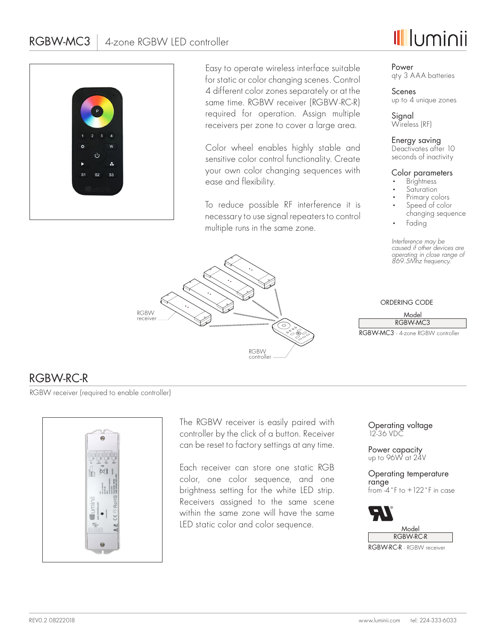



Easy to operate wireless interface suitable for static or color changing scenes. Control 4 different color zones separately or at the same time. RGBW receiver (RGBW-RC-R) required for operation. Assign multiple receivers per zone to cover a large area.

Color wheel enables highly stable and sensitive color control functionality. Create your own color changing sequences with ease and flexibility.

To reduce possible RF interference it is necessary to use signal repeaters to control multiple runs in the same zone.



## Power qty 3 AAA batteries

Scenes up to 4 unique zones

**Signal** Wireless (RF)

Energy saving Deactivates after 10 seconds of inactivity

## Color parameters

- **Brightness**
- Saturation
- Primary colors Speed of color
- changing sequence
- Fading

*Interference may be caused if other devices are operating in close range of 869.5Mhz frequency.*

## ORDERING CODE

#### Model RGBW-MC3

RGBW-MC3 - 4-zone RGBW controller

## RGBW-RC-R

RGBW receiver (required to enable controller)



The RGBW receiver is easily paired with controller by the click of a button. Receiver can be reset to factory settings at any time.

Each receiver can store one static RGB color, one color sequence, and one brightness setting for the white LED strip. Receivers assigned to the same scene within the same zone will have the same LED static color and color sequence.

Operating voltage 12-36 VDC

Power capacity up to 96W at 24V

Operating temperature range from -4˚F to +122˚F in case



RGBW-RC-R - RGBW receiver